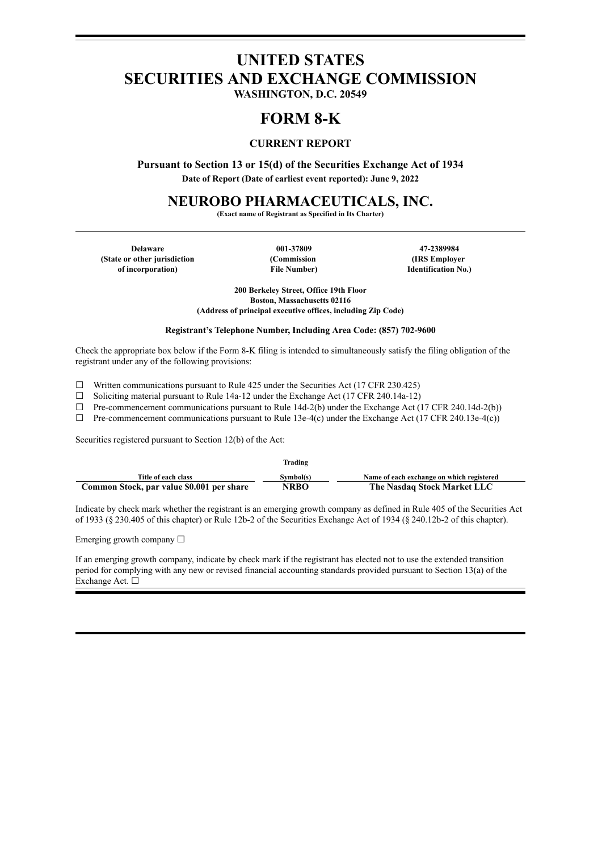# **UNITED STATES SECURITIES AND EXCHANGE COMMISSION**

**WASHINGTON, D.C. 20549**

## **FORM 8-K**

## **CURRENT REPORT**

**Pursuant to Section 13 or 15(d) of the Securities Exchange Act of 1934 Date of Report (Date of earliest event reported): June 9, 2022**

**NEUROBO PHARMACEUTICALS, INC.**

**(Exact name of Registrant as Specified in Its Charter)**

**Delaware 001-37809 47-2389984 (State or other jurisdiction of incorporation)**

**(Commission File Number)**

**(IRS Employer Identification No.)**

**200 Berkeley Street, Office 19th Floor Boston, Massachusetts 02116 (Address of principal executive offices, including Zip Code)**

#### **Registrant's Telephone Number, Including Area Code: (857) 702-9600**

Check the appropriate box below if the Form 8-K filing is intended to simultaneously satisfy the filing obligation of the registrant under any of the following provisions:

 $\Box$  Written communications pursuant to Rule 425 under the Securities Act (17 CFR 230.425)

☐ Soliciting material pursuant to Rule 14a-12 under the Exchange Act (17 CFR 240.14a-12)

 $\Box$  Pre-commencement communications pursuant to Rule 14d-2(b) under the Exchange Act (17 CFR 240.14d-2(b))

 $\Box$  Pre-commencement communications pursuant to Rule 13e-4(c) under the Exchange Act (17 CFR 240.13e-4(c))

Securities registered pursuant to Section 12(b) of the Act:

|                                           | Trading     |                                           |
|-------------------------------------------|-------------|-------------------------------------------|
| Title of each class                       | Symbol(s)   | Name of each exchange on which registered |
| Common Stock, par value \$0.001 per share | <b>NRBO</b> | The Nasdaq Stock Market LLC               |

Indicate by check mark whether the registrant is an emerging growth company as defined in Rule 405 of the Securities Act of 1933 (§ 230.405 of this chapter) or Rule 12b-2 of the Securities Exchange Act of 1934 (§ 240.12b-2 of this chapter).

Emerging growth company  $\Box$ 

If an emerging growth company, indicate by check mark if the registrant has elected not to use the extended transition period for complying with any new or revised financial accounting standards provided pursuant to Section 13(a) of the Exchange Act. □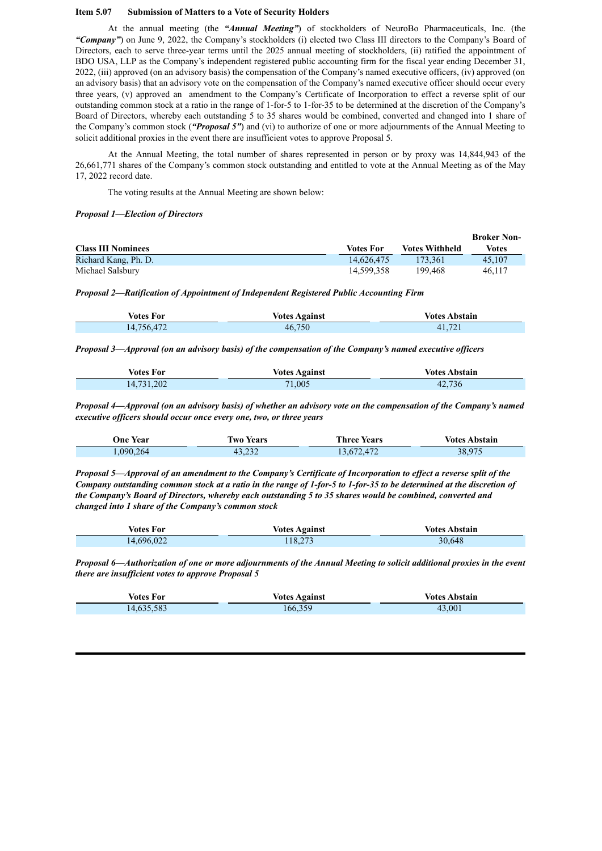#### **Item 5.07 Submission of Matters to a Vote of Security Holders**

At the annual meeting (the *"Annual Meeting"*) of stockholders of NeuroBo Pharmaceuticals, Inc. (the *"Company"*) on June 9, 2022, the Company's stockholders (i) elected two Class III directors to the Company's Board of Directors, each to serve three-year terms until the 2025 annual meeting of stockholders, (ii) ratified the appointment of BDO USA, LLP as the Company's independent registered public accounting firm for the fiscal year ending December 31, 2022, (iii) approved (on an advisory basis) the compensation of the Company's named executive officers, (iv) approved (on an advisory basis) that an advisory vote on the compensation of the Company's named executive officer should occur every three years, (v) approved an amendment to the Company's Certificate of Incorporation to effect a reverse split of our outstanding common stock at a ratio in the range of 1-for-5 to 1-for-35 to be determined at the discretion of the Company's Board of Directors, whereby each outstanding 5 to 35 shares would be combined, converted and changed into 1 share of the Company's common stock (*"Proposal 5"*) and (vi) to authorize of one or more adjournments of the Annual Meeting to solicit additional proxies in the event there are insufficient votes to approve Proposal 5.

At the Annual Meeting, the total number of shares represented in person or by proxy was 14,844,943 of the 26,661,771 shares of the Company's common stock outstanding and entitled to vote at the Annual Meeting as of the May 17, 2022 record date.

The voting results at the Annual Meeting are shown below:

#### *Proposal 1—Election of Directors*

|                           |            |                       | <b>Broker Non-</b> |
|---------------------------|------------|-----------------------|--------------------|
| <b>Class III Nominees</b> | Votes For  | <b>Votes Withheld</b> | Votes              |
| Richard Kang, Ph. D.      | 14.626.475 | 173.361               | 45.107             |
| Michael Salsbury          | 14.599.358 | 199.468               | 46.117             |

*Proposal 2—Ratification of Appointment of Independent Registered Public Accounting Firm*

| Votes For  | <b>Votes Against</b> | <b>Votes Abstain</b> |
|------------|----------------------|----------------------|
| 14,756,472 | 46,750               | 41.721               |

*Proposal 3—Approval (on an advisory basis) of the compensation of the Company's named executive of icers*

| Votes For  | <b>Votes Against</b> | <b>Votes Abstain</b> |
|------------|----------------------|----------------------|
| 14,731,202 | 71,005               | 42,736               |

Proposal 4—Approval (on an advisory basis) of whether an advisory vote on the compensation of the Company's named *executive of icers should occur once every one, two, or three years*

| One Year  | Iwo Years | <b>Three Years</b> | <b>Votes Abstain</b> |
|-----------|-----------|--------------------|----------------------|
| 1,090,264 | 43,232    | 13,672,472         | 38,975               |

Proposal 5—Approval of an amendment to the Company's Certificate of Incorporation to effect a reverse split of the Company outstanding common stock at a ratio in the range of 1-for-5 to 1-for-35 to be determined at the discretion of the Company's Board of Directors, whereby each outstanding 5 to 35 shares would be combined, converted and *changed into 1 share of the Company's common stock*

| <b>Votes For</b> | <b>Votes Against</b> | <b>Votes Abstain</b> |
|------------------|----------------------|----------------------|
| 14,696,022       | 118.273              | 30,648               |

Proposal 6—Authorization of one or more adjournments of the Annual Meeting to solicit additional proxies in the event *there are insuf icient votes to approve Proposal 5*

| Votes For  | <b>Votes Against</b> | Votes Abstain- |
|------------|----------------------|----------------|
| 14,635,583 | 166,359              | 43.001         |